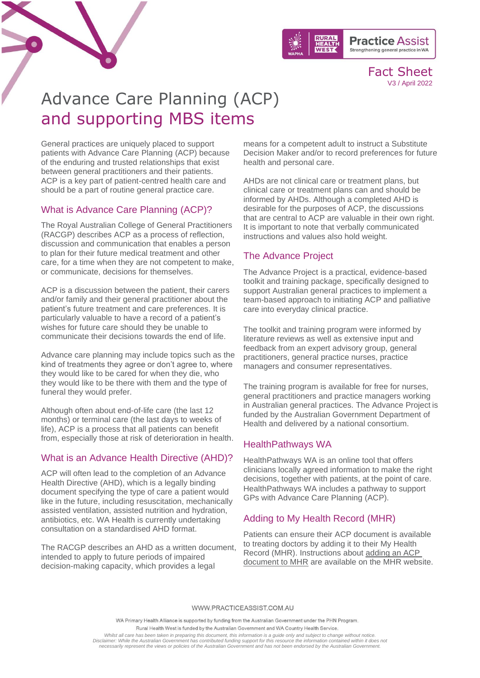

Fact Sheet V3 / April 2022

# Advance Care Planning (ACP) and supporting MBS items

General practices are uniquely placed to support patients with Advance Care Planning (ACP) because of the enduring and trusted relationships that exist between general practitioners and their patients. ACP is a key part of patient-centred health care and should be a part of routine general practice care.

### What is Advance Care Planning (ACP)?

The Royal Australian College of General Practitioners (RACGP) describes ACP as a process of reflection, discussion and communication that enables a person to plan for their future medical treatment and other care, for a time when they are not competent to make, or communicate, decisions for themselves.

ACP is a discussion between the patient, their carers and/or family and their general practitioner about the patient's future treatment and care preferences. It is particularly valuable to have a record of a patient's wishes for future care should they be unable to communicate their decisions towards the end of life.

Advance care planning may include topics such as the kind of treatments they agree or don't agree to, where they would like to be cared for when they die, who they would like to be there with them and the type of funeral they would prefer.

Although often about end-of-life care (the last 12 months) or terminal care (the last days to weeks of life), ACP is a process that all patients can benefit from, especially those at risk of deterioration in health.

### What is an Advance Health Directive (AHD)?

ACP will often lead to the completion of an Advance Health Directive (AHD), which is a legally binding document specifying the type of care a patient would like in the future, including resuscitation, mechanically assisted ventilation, assisted nutrition and hydration, antibiotics, etc. WA Health is currently undertaking consultation on a standardised AHD format.

The RACGP describes an AHD as a written document, intended to apply to future periods of impaired decision-making capacity, which provides a legal

means for a competent adult to instruct a Substitute Decision Maker and/or to record preferences for future health and personal care.

AHDs are not clinical care or treatment plans, but clinical care or treatment plans can and should be informed by AHDs. Although a completed AHD is desirable for the purposes of ACP, the discussions that are central to ACP are valuable in their own right. It is important to note that verbally communicated instructions and values also hold weight.

### The Advance Project

The Advance Project is a practical, evidence-based toolkit and training package, specifically designed to support Australian general practices to implement a team-based approach to initiating ACP and palliative care into everyday clinical practice.

The toolkit and training program were informed by literature reviews as well as extensive input and feedback from an expert advisory group, general practitioners, general practice nurses, practice managers and consumer representatives.

The training program is available for free for nurses, general practitioners and practice managers working in Australian general practices. The Advance Project is funded by the Australian Government Department of Health and delivered by a national consortium.

### HealthPathways WA

HealthPathways WA is an online tool that offers clinicians locally agreed information to make the right decisions, together with patients, at the point of care. HealthPathways WA includes a pathway to support GPs with Advance Care Planning (ACP).

### Adding to My Health Record (MHR)

Patients can ensure their ACP document is available to treating doctors by adding it to their My Health Record (MHR). Instructions about [adding an ACP](https://www.myhealthrecord.gov.au/for-you-your-family/howtos/add-advance-care-plan)  [document to MHR](https://www.myhealthrecord.gov.au/for-you-your-family/howtos/add-advance-care-plan) are available on the MHR website.

WWW.PRACTICEASSIST.COM.AU

WA Primary Health Alliance is supported by funding from the Australian Government under the PHN Program.

Rural Health West is funded by the Australian Government and WA Country Health Service.

*Whilst all care has been taken in preparing this document, this information is a guide only and subject to change without notice.* Disclaimer: While the Australian Government has contributed funding support for this resource the information contained within it does not<br>necessarily represent the views or policies of the Australian Government and has no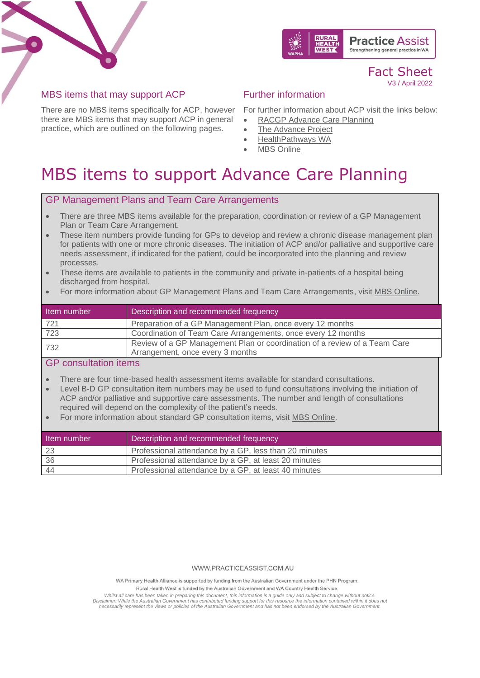



### Fact Sheet V3 / April 2022

### MBS items that may support ACP

There are no MBS items specifically for ACP, however For further information about ACP visit the links below: there are MBS items that may support ACP in general practice, which are outlined on the following pages.

## Further information

- 
- [RACGP Advance Care Planning](https://www.racgp.org.au/running-a-practice/practice-resources/practice-tools/advance-care-planning)
- **[The Advance Project](https://www.theadvanceproject.com.au/tabid/5203/Default.aspx)**
- [HealthPathways WA](https://wa.communityhealthpathways.org/LoginFiles/Logon.aspx?autologon=0)
- **[MBS Online](http://www.mbsonline.gov.au/internet/mbsonline/publishing.nsf/Content/Home)**

## MBS items to support Advance Care Planning

### GP Management Plans and Team Care Arrangements

- There are three MBS items available for the preparation, coordination or review of a GP Management Plan or Team Care Arrangement.
- These item numbers provide funding for GPs to develop and review a chronic disease management plan for patients with one or more chronic diseases. The initiation of ACP and/or palliative and supportive care needs assessment, if indicated for the patient, could be incorporated into the planning and review processes.
- These items are available to patients in the community and private in-patients of a hospital being discharged from hospital.
- For more information about GP Management Plans and Team Care Arrangements, visit [MBS Online.](http://www9.health.gov.au/mbs/fullDisplay.cfm?type=note&q=AN.0.47&qt=noteID&criteria=721)

| Item number | Description and recommended frequency                                                                         |
|-------------|---------------------------------------------------------------------------------------------------------------|
| 721         | Preparation of a GP Management Plan, once every 12 months                                                     |
| 723         | Coordination of Team Care Arrangements, once every 12 months                                                  |
| 732         | Review of a GP Management Plan or coordination of a review of a Team Care<br>Arrangement, once every 3 months |

### GP consultation items

- There are four time-based health assessment items available for standard consultations.
- Level B-D GP consultation item numbers may be used to fund consultations involving the initiation of ACP and/or palliative and supportive care assessments. The number and length of consultations required will depend on the complexity of the patient's needs.
- For more information about standard GP consultation items, visit [MBS Online.](http://www9.health.gov.au/mbs/fullDisplay.cfm?type=item&qt=ItemID&q=36)

| Item number | Description and recommended frequency                 |
|-------------|-------------------------------------------------------|
| -23         | Professional attendance by a GP, less than 20 minutes |
| 36          | Professional attendance by a GP, at least 20 minutes  |
| -44         | Professional attendance by a GP, at least 40 minutes  |

#### WWW.PRACTICEASSIST.COM.AU

WA Primary Health Alliance is supported by funding from the Australian Government under the PHN Program.

Rural Health West is funded by the Australian Government and WA Country Health Service

Whilst all care has been taken in preparing this document, this information is a guide only and subject to change without notice.<br>Disclaimer: While the Australian Government has contributed funding support for this resourc *necessarily represent the views or policies of the Australian Government and has not been endorsed by the Australian Government.*